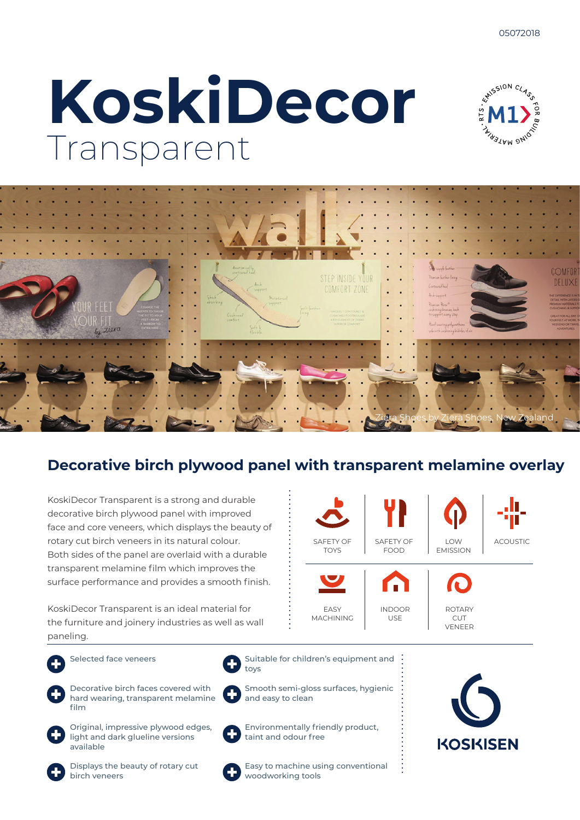# **KoskiDecor** Transparent





### **Decorative birch plywood panel with transparent melamine overlay**

KoskiDecor Transparent is a strong and durable decorative birch plywood panel with improved face and core veneers, which displays the beauty of rotary cut birch veneers in its natural colour. Both sides of the panel are overlaid with a durable transparent melamine film which improves the surface performance and provides a smooth finish.

KoskiDecor Transparent is an ideal material for the furniture and joinery industries as well as wall paneling.



Selected face veneers



Decorative birch faces covered with hard wearing, transparent melamine film



Original, impressive plywood edges, light and dark glueline versions available



Environmentally friendly product, taint and odour free

Suitable for children's equipment and

Smooth semi-gloss surfaces, hygienic



Displays the beauty of rotary cut birch veneers



toys

and easy to clean

Easy to machine using conventional woodworking tools